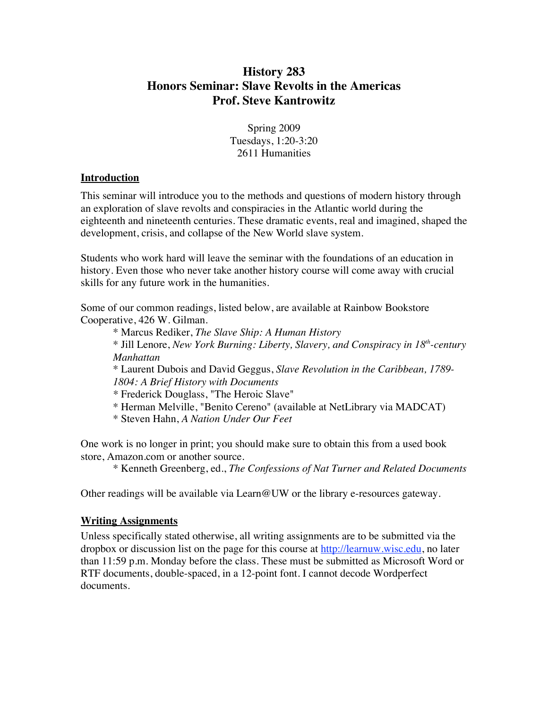# **History 283 Honors Seminar: Slave Revolts in the Americas Prof. Steve Kantrowitz**

Spring 2009 Tuesdays, 1:20-3:20 2611 Humanities

#### **Introduction**

This seminar will introduce you to the methods and questions of modern history through an exploration of slave revolts and conspiracies in the Atlantic world during the eighteenth and nineteenth centuries. These dramatic events, real and imagined, shaped the development, crisis, and collapse of the New World slave system.

Students who work hard will leave the seminar with the foundations of an education in history. Even those who never take another history course will come away with crucial skills for any future work in the humanities.

Some of our common readings, listed below, are available at Rainbow Bookstore Cooperative, 426 W. Gilman.

\* Marcus Rediker, *The Slave Ship: A Human History*

\* Jill Lenore, *New York Burning: Liberty, Slavery, and Conspiracy in 18th-century Manhattan*

\* Laurent Dubois and David Geggus, *Slave Revolution in the Caribbean, 1789- 1804: A Brief History with Documents*

*\** Frederick Douglass, "The Heroic Slave"

\* Herman Melville, "Benito Cereno" (available at NetLibrary via MADCAT)

\* Steven Hahn, *A Nation Under Our Feet*

One work is no longer in print; you should make sure to obtain this from a used book store, Amazon.com or another source.

\* Kenneth Greenberg, ed., *The Confessions of Nat Turner and Related Documents*

Other readings will be available via Learn  $@UW$  or the library e-resources gateway.

## **Writing Assignments**

Unless specifically stated otherwise, all writing assignments are to be submitted via the dropbox or discussion list on the page for this course at http://learnuw.wisc.edu, no later than 11:59 p.m. Monday before the class. These must be submitted as Microsoft Word or RTF documents, double-spaced, in a 12-point font. I cannot decode Wordperfect documents.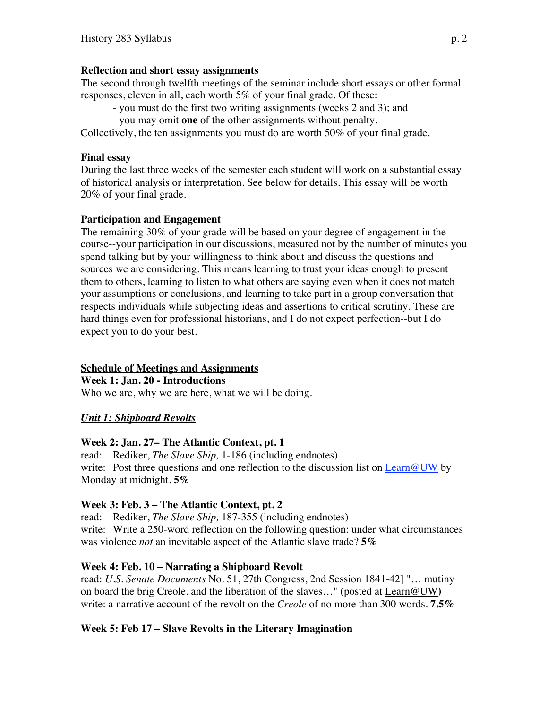#### **Reflection and short essay assignments**

The second through twelfth meetings of the seminar include short essays or other formal responses, eleven in all, each worth 5% of your final grade. Of these:

- you must do the first two writing assignments (weeks 2 and 3); and

- you may omit **one** of the other assignments without penalty.

Collectively, the ten assignments you must do are worth 50% of your final grade.

### **Final essay**

During the last three weeks of the semester each student will work on a substantial essay of historical analysis or interpretation. See below for details. This essay will be worth 20% of your final grade.

## **Participation and Engagement**

The remaining 30% of your grade will be based on your degree of engagement in the course--your participation in our discussions, measured not by the number of minutes you spend talking but by your willingness to think about and discuss the questions and sources we are considering. This means learning to trust your ideas enough to present them to others, learning to listen to what others are saying even when it does not match your assumptions or conclusions, and learning to take part in a group conversation that respects individuals while subjecting ideas and assertions to critical scrutiny. These are hard things even for professional historians, and I do not expect perfection--but I do expect you to do your best.

## **Schedule of Meetings and Assignments**

**Week 1: Jan. 20 - Introductions**

Who we are, why we are here, what we will be doing.

## *Unit 1: Shipboard Revolts*

## **Week 2: Jan. 27– The Atlantic Context, pt. 1**

read: Rediker, *The Slave Ship,* 1-186 (including endnotes) write: Post three questions and one reflection to the discussion list on Learn@UW by Monday at midnight. **5%**

## **Week 3: Feb. 3 – The Atlantic Context, pt. 2**

read: Rediker, *The Slave Ship,* 187-355 (including endnotes) write: Write a 250-word reflection on the following question: under what circumstances was violence *not* an inevitable aspect of the Atlantic slave trade? **5%**

## **Week 4: Feb. 10 – Narrating a Shipboard Revolt**

read: *U.S. Senate Documents* No. 51, 27th Congress, 2nd Session 1841-42] "… mutiny on board the brig Creole, and the liberation of the slaves…" (posted at Learn@UW**)** write: a narrative account of the revolt on the *Creole* of no more than 300 words. **7.5%**

## **Week 5: Feb 17 – Slave Revolts in the Literary Imagination**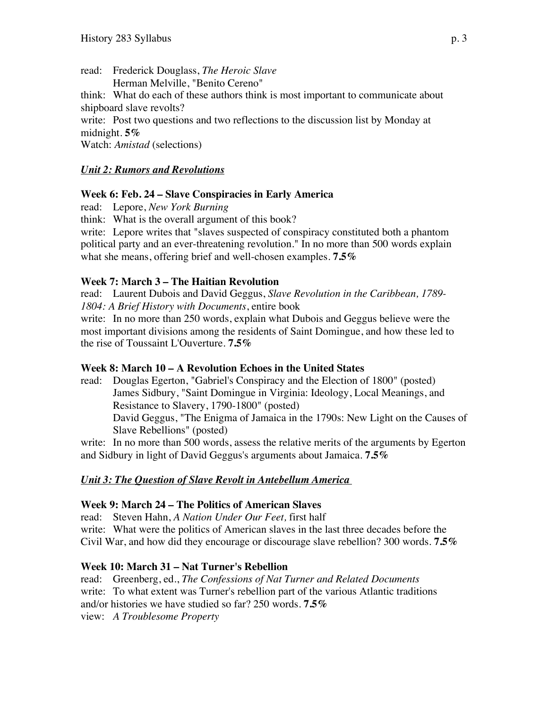read: Frederick Douglass, *The Heroic Slave* Herman Melville, "Benito Cereno" think: What do each of these authors think is most important to communicate about shipboard slave revolts? write: Post two questions and two reflections to the discussion list by Monday at midnight. **5%** Watch: *Amistad* (selections)

### *Unit 2: Rumors and Revolutions*

#### **Week 6: Feb. 24 – Slave Conspiracies in Early America**

read: Lepore, *New York Burning*

think: What is the overall argument of this book?

write: Lepore writes that "slaves suspected of conspiracy constituted both a phantom political party and an ever-threatening revolution." In no more than 500 words explain what she means, offering brief and well-chosen examples. **7.5%**

#### **Week 7: March 3 – The Haitian Revolution**

read: Laurent Dubois and David Geggus, *Slave Revolution in the Caribbean, 1789- 1804: A Brief History with Documents*, entire book

write: In no more than 250 words, explain what Dubois and Geggus believe were the most important divisions among the residents of Saint Domingue, and how these led to the rise of Toussaint L'Ouverture. **7.5%**

#### **Week 8: March 10 – A Revolution Echoes in the United States**

read: Douglas Egerton, "Gabriel's Conspiracy and the Election of 1800" (posted) James Sidbury, "Saint Domingue in Virginia: Ideology, Local Meanings, and Resistance to Slavery, 1790-1800" (posted) David Geggus, "The Enigma of Jamaica in the 1790s: New Light on the Causes of Slave Rebellions" (posted)

write: In no more than 500 words, assess the relative merits of the arguments by Egerton and Sidbury in light of David Geggus's arguments about Jamaica. **7.5%**

#### *Unit 3: The Question of Slave Revolt in Antebellum America*

#### **Week 9: March 24 – The Politics of American Slaves**

read: Steven Hahn, *A Nation Under Our Feet,* first half write: What were the politics of American slaves in the last three decades before the Civil War, and how did they encourage or discourage slave rebellion? 300 words. **7.5%**

#### **Week 10: March 31 – Nat Turner's Rebellion**

read: Greenberg, ed., *The Confessions of Nat Turner and Related Documents* write: To what extent was Turner's rebellion part of the various Atlantic traditions and/or histories we have studied so far? 250 words. **7.5%** view: *A Troublesome Property*